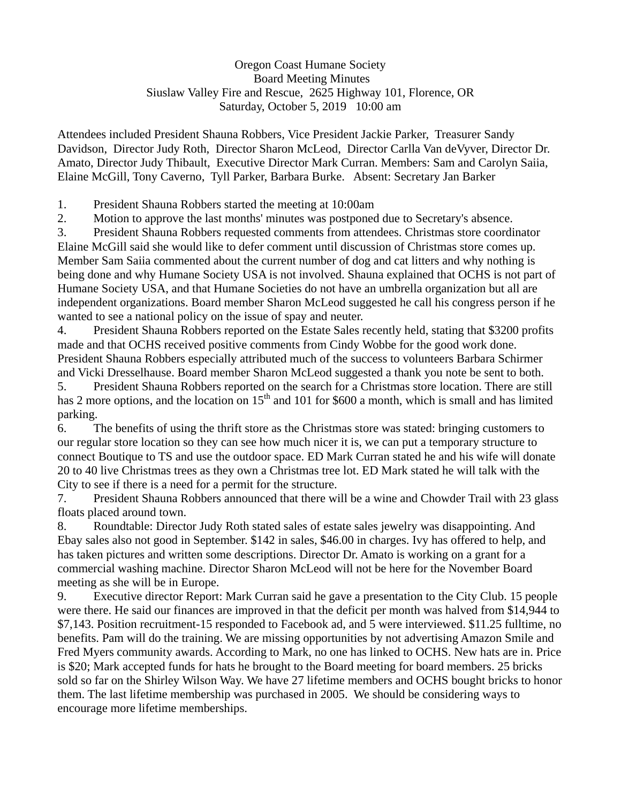## Oregon Coast Humane Society Board Meeting Minutes Siuslaw Valley Fire and Rescue, 2625 Highway 101, Florence, OR Saturday, October 5, 2019 10:00 am

Attendees included President Shauna Robbers, Vice President Jackie Parker, Treasurer Sandy Davidson, Director Judy Roth, Director Sharon McLeod, Director Carlla Van deVyver, Director Dr. Amato, Director Judy Thibault, Executive Director Mark Curran. Members: Sam and Carolyn Saiia, Elaine McGill, Tony Caverno, Tyll Parker, Barbara Burke. Absent: Secretary Jan Barker

1. President Shauna Robbers started the meeting at 10:00am

2. Motion to approve the last months' minutes was postponed due to Secretary's absence.

3. President Shauna Robbers requested comments from attendees. Christmas store coordinator

Elaine McGill said she would like to defer comment until discussion of Christmas store comes up. Member Sam Saiia commented about the current number of dog and cat litters and why nothing is being done and why Humane Society USA is not involved. Shauna explained that OCHS is not part of Humane Society USA, and that Humane Societies do not have an umbrella organization but all are independent organizations. Board member Sharon McLeod suggested he call his congress person if he wanted to see a national policy on the issue of spay and neuter.

4. President Shauna Robbers reported on the Estate Sales recently held, stating that \$3200 profits made and that OCHS received positive comments from Cindy Wobbe for the good work done. President Shauna Robbers especially attributed much of the success to volunteers Barbara Schirmer and Vicki Dresselhause. Board member Sharon McLeod suggested a thank you note be sent to both.

5. President Shauna Robbers reported on the search for a Christmas store location. There are still has 2 more options, and the location on  $15<sup>th</sup>$  and 101 for \$600 a month, which is small and has limited parking.

6. The benefits of using the thrift store as the Christmas store was stated: bringing customers to our regular store location so they can see how much nicer it is, we can put a temporary structure to connect Boutique to TS and use the outdoor space. ED Mark Curran stated he and his wife will donate 20 to 40 live Christmas trees as they own a Christmas tree lot. ED Mark stated he will talk with the City to see if there is a need for a permit for the structure.

7. President Shauna Robbers announced that there will be a wine and Chowder Trail with 23 glass floats placed around town.

8. Roundtable: Director Judy Roth stated sales of estate sales jewelry was disappointing. And Ebay sales also not good in September. \$142 in sales, \$46.00 in charges. Ivy has offered to help, and has taken pictures and written some descriptions. Director Dr. Amato is working on a grant for a commercial washing machine. Director Sharon McLeod will not be here for the November Board meeting as she will be in Europe.

9. Executive director Report: Mark Curran said he gave a presentation to the City Club. 15 people were there. He said our finances are improved in that the deficit per month was halved from \$14,944 to \$7,143. Position recruitment-15 responded to Facebook ad, and 5 were interviewed. \$11.25 fulltime, no benefits. Pam will do the training. We are missing opportunities by not advertising Amazon Smile and Fred Myers community awards. According to Mark, no one has linked to OCHS. New hats are in. Price is \$20; Mark accepted funds for hats he brought to the Board meeting for board members. 25 bricks sold so far on the Shirley Wilson Way. We have 27 lifetime members and OCHS bought bricks to honor them. The last lifetime membership was purchased in 2005. We should be considering ways to encourage more lifetime memberships.